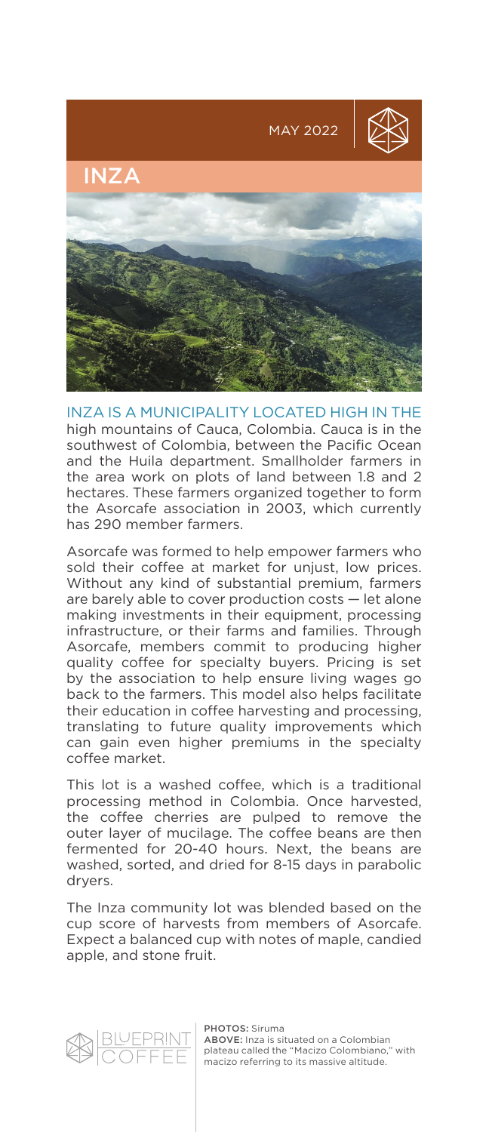

INZA IS A MUNICIPALITY LOCATED HIGH IN THE high mountains of Cauca, Colombia. Cauca is in the southwest of Colombia, between the Pacific Ocean and the Huila department. Smallholder farmers in the area work on plots of land between 1.8 and 2 hectares. These farmers organized together to form the Asorcafe association in 2003, which currently has 290 member farmers.

Asorcafe was formed to help empower farmers who sold their coffee at market for unjust, low prices. Without any kind of substantial premium, farmers are barely able to cover production costs — let alone making investments in their equipment, processing infrastructure, or their farms and families. Through Asorcafe, members commit to producing higher quality coffee for specialty buyers. Pricing is set by the association to help ensure living wages go back to the farmers. This model also helps facilitate their education in coffee harvesting and processing, translating to future quality improvements which can gain even higher premiums in the specialty coffee market.

This lot is a washed coffee, which is a traditional processing method in Colombia. Once harvested, the coffee cherries are pulped to remove the outer layer of mucilage. The coffee beans are then fermented for 20-40 hours. Next, the beans are washed, sorted, and dried for 8-15 days in parabolic dryers.

The Inza community lot was blended based on the cup score of harvests from members of Asorcafe. Expect a balanced cup with notes of maple, candied apple, and stone fruit.